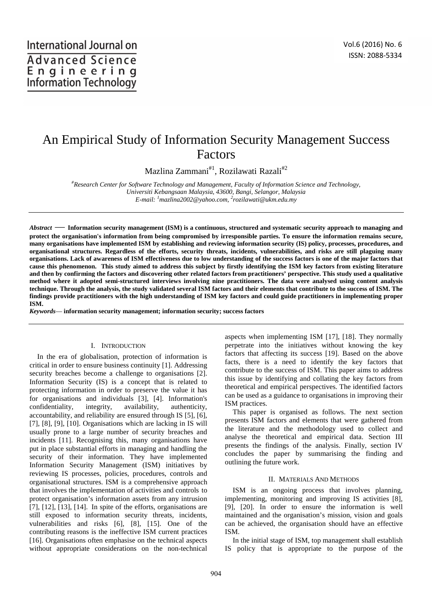# An Empirical Study of Information Security Management Success Factors

Mazlina Zammani<br/>#1, Rozilawati Razali<br/>#2

*#Research Center for Software Technology and Management, Faculty of Information Science and Technology, Universiti Kebangsaan Malaysia, 43600, Bangi, Selangor, Malaysia E-mail: <sup>1</sup>mazlina2002@yahoo.com, <sup>2</sup> rozilawati@ukm.edu.my* 

*Abstract* — **Information security management (ISM) is a continuous, structured and systematic security approach to managing and protect the organisation's information from being compromised by irresponsible parties. To ensure the information remains secure, many organisations have implemented ISM by establishing and reviewing information security (IS) policy, processes, procedures, and organisational structures. Regardless of the efforts, security threats, incidents, vulnerabilities, and risks are still plaguing many organisations. Lack of awareness of ISM effectiveness due to low understanding of the success factors is one of the major factors that cause this phenomenon. This study aimed to address this subject by firstly identifying the ISM key factors from existing literature and then by confirming the factors and discovering other related factors from practitioners' perspective. This study used a qualitative method where it adopted semi-structured interviews involving nine practitioners. The data were analysed using content analysis technique. Through the analysis, the study validated several ISM factors and their elements that contribute to the success of ISM. The findings provide practitioners with the high understanding of ISM key factors and could guide practitioners in implementing proper ISM.**

*Keywords*— **information security management; information security; success factors** 

#### I. INTRODUCTION

In the era of globalisation, protection of information is critical in order to ensure business continuity [1]. Addressing security breaches become a challenge to organisations [2]. Information Security (IS) is a concept that is related to protecting information in order to preserve the value it has for organisations and individuals [3], [4]. Information's confidentiality, integrity, availability, authenticity, accountability, and reliability are ensured through IS [5], [6], [7], [8], [9], [10]. Organisations which are lacking in IS will usually prone to a large number of security breaches and incidents [11]. Recognising this, many organisations have put in place substantial efforts in managing and handling the security of their information. They have implemented Information Security Management (ISM) initiatives by reviewing IS processes, policies, procedures, controls and organisational structures. ISM is a comprehensive approach that involves the implementation of activities and controls to protect organisation's information assets from any intrusion [7], [12], [13], [14]. In spite of the efforts, organisations are still exposed to information security threats, incidents, vulnerabilities and risks [6], [8], [15]. One of the contributing reasons is the ineffective ISM current practices [16]. Organisations often emphasise on the technical aspects without appropriate considerations on the non-technical

aspects when implementing ISM [17], [18]. They normally perpetrate into the initiatives without knowing the key factors that affecting its success [19]. Based on the above facts, there is a need to identify the key factors that contribute to the success of ISM. This paper aims to address this issue by identifying and collating the key factors from theoretical and empirical perspectives. The identified factors can be used as a guidance to organisations in improving their ISM practices.

This paper is organised as follows. The next section presents ISM factors and elements that were gathered from the literature and the methodology used to collect and analyse the theoretical and empirical data. Section III presents the findings of the analysis. Finally, section IV concludes the paper by summarising the finding and outlining the future work.

#### II. MATERIALS AND METHODS

ISM is an ongoing process that involves planning, implementing, monitoring and improving IS activities [8], [9], [20]. In order to ensure the information is well maintained and the organisation's mission, vision and goals can be achieved, the organisation should have an effective ISM.

In the initial stage of ISM, top management shall establish IS policy that is appropriate to the purpose of the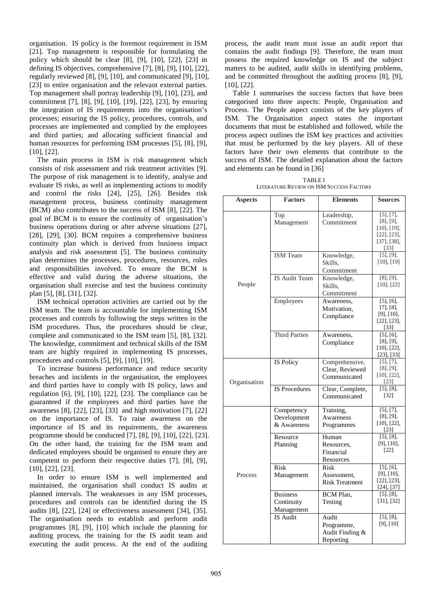organisation. IS policy is the foremost requirement in ISM [21]. Top management is responsible for formulating the policy which should be clear [8], [9], [10], [22], [23] in defining IS objectives, comprehensive [7], [8], [9], [10], [22], regularly reviewed [8], [9], [10], and communicated [9], [10], [23] to entire organisation and the relevant external parties. Top management shall portray leadership [9], [10], [23], and commitment [7], [8], [9], [10], [19], [22], [23], by ensuring the integration of IS requirements into the organisation's processes; ensuring the IS policy, procedures, controls, and processes are implemented and complied by the employees and third parties; and allocating sufficient financial and human resources for performing ISM processes [5], [8], [9], [10], [22].

The main process in ISM is risk management which consists of risk assessment and risk treatment activities [9]. The purpose of risk management is to identify, analyse and evaluate IS risks, as well as implementing actions to modify and control the risks [24], [25], [26]. Besides risk management process, business continuity management (BCM) also contributes to the success of ISM [8], [22]. The goal of BCM is to ensure the continuity of organisation's business operations during or after adverse situations [27], [28], [29], [30]. BCM requires a comprehensive business continuity plan which is derived from business impact analysis and risk assessment [5]. The business continuity plan determines the processes, procedures, resources, roles and responsibilities involved. To ensure the BCM is effective and valid during the adverse situations, the organisation shall exercise and test the business continuity plan [5], [8], [31], [32].

ISM technical operation activities are carried out by the ISM team. The team is accountable for implementing ISM processes and controls by following the steps written in the ISM procedures. Thus, the procedures should be clear, complete and communicated to the ISM team [5], [8], [32]. The knowledge, commitment and technical skills of the ISM team are highly required in implementing IS processes, procedures and controls [5], [9], [10], [19].

To increase business performance and reduce security breaches and incidents in the organisation, the employees and third parties have to comply with IS policy, laws and regulation [6], [9], [10], [22], [23]. The compliance can be guaranteed if the employees and third parties have the awareness [8], [22], [23], [33] and high motivation [7], [22] on the importance of IS. To raise awareness on the importance of IS and its requirements, the awareness programme should be conducted [7], [8], [9], [10], [22], [23]. On the other hand, the training for the ISM team and dedicated employees should be organised to ensure they are competent to perform their respective duties [7], [8], [9], [10], [22], [23].

In order to ensure ISM is well implemented and maintained, the organisation shall conduct IS audits at planned intervals. The weaknesses in any ISM processes, procedures and controls can be identified during the IS audits [8], [22], [24] or effectiveness assessment [34], [35]. The organisation needs to establish and perform audit programmes [8], [9], [10] which include the planning for auditing process, the training for the IS audit team and executing the audit process. At the end of the auditing process, the audit team must issue an audit report that contains the audit findings [9]. Therefore, the team must possess the required knowledge on IS and the subject matters to be audited, audit skills in identifying problems, and be committed throughout the auditing process [8], [9], [10], [22].

Table 1 summarises the success factors that have been categorised into three aspects: People, Organisation and Process. The People aspect consists of the key players of ISM. The Organisation aspect states the important documents that must be established and followed, while the process aspect outlines the ISM key practices and activities that must be performed by the key players. All of these factors have their own elements that contribute to the success of ISM. The detailed explanation about the factors and elements can be found in [36]

TABLE I LITERATURE REVIEW ON ISM SUCCESS FACTORS

| <b>Aspects</b> | <b>Factors</b>                              | <b>Elements</b>                                     | <b>Sources</b>                                                                                        |
|----------------|---------------------------------------------|-----------------------------------------------------|-------------------------------------------------------------------------------------------------------|
| People         | Top<br>Management                           | Leadership,<br>Commitment                           | [5], [7],<br>$[8]$ , $[9]$ ,<br>$[10]$ , $[19]$ ,<br>$[22]$ , $[23]$ ,<br>$[37]$ , $[38]$ ,<br>$[33]$ |
|                | <b>ISM</b> Team                             | Knowledge,<br>Skills.<br>Commitment                 | $[5]$ , $[9]$ ,<br>$[10]$ , $[19]$                                                                    |
|                | IS Audit Team                               | Knowledge,<br>Skills.<br>Commitment                 | $[8]$ , $[9]$ ,<br>$[10]$ , $[22]$                                                                    |
|                | Employees                                   | Awareness,<br>Motivation.<br>Compliance             | $[5]$ , $[6]$ ,<br>$[7]$ , $[8]$ ,<br>$[9]$ , $[10]$ ,<br>$[22]$ , $[23]$ ,<br>$[33]$                 |
|                | <b>Third Parties</b>                        | Awareness,<br>Compliance                            | $[5]$ , $[6]$ ,<br>$[8]$ , $[9]$ ,<br>$[10]$ , $[22]$ ,<br>$[23]$ , $[33]$                            |
| Organisation   | <b>IS Policy</b>                            | Comprehensive,<br>Clear, Reviewed<br>Communicated   | $[5]$ , $[7]$ ,<br>$[8]$ , $[9]$ ,<br>$[10]$ , $[22]$ ,<br>$[23]$                                     |
|                | <b>IS Procedures</b>                        | Clear, Complete,<br>Communicated                    | $[5]$ , $[8]$ ,<br>$[32]$                                                                             |
| Process        | Competency<br>Development<br>& Awareness    | Training,<br>Awareness<br>Programmes                | $[5]$ , $[7]$ ,<br>$[8]$ , $[9]$ ,<br>[10], [22],<br>$[23]$                                           |
|                | Resource<br>Planning                        | Human<br>Resources.<br>Financial<br>Resources       | $[5]$ , $[8]$ ,<br>$[9]$ , $[10]$ ,<br>[22]                                                           |
|                | Risk<br>Management                          | Risk<br>Assessment,<br><b>Risk Treatment</b>        | $[5]$ , $[6]$ ,<br>$[9]$ , $[10]$ ,<br>$[22]$ , $[23]$ ,<br>[24], [37]                                |
|                | <b>Business</b><br>Continuity<br>Management | <b>BCM</b> Plan,<br>Testing                         | $[5]$ , $[8]$ ,<br>$[31]$ , $[32]$                                                                    |
|                | <b>IS Audit</b>                             | Audit<br>Programme,<br>Audit Finding &<br>Reporting | $[5]$ , $[8]$ ,<br>$[9]$ , $[10]$                                                                     |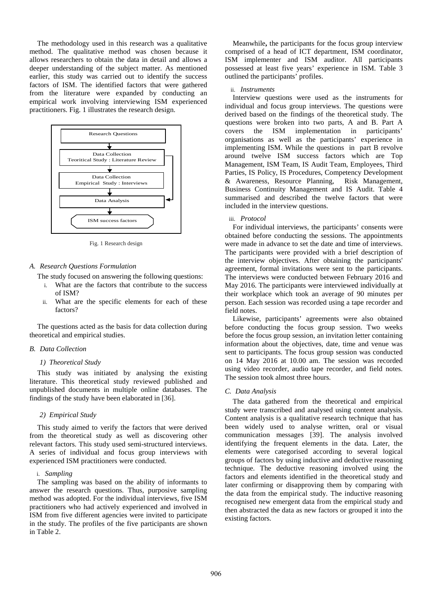The methodology used in this research was a qualitative method. The qualitative method was chosen because it allows researchers to obtain the data in detail and allows a deeper understanding of the subject matter. As mentioned earlier, this study was carried out to identify the success factors of ISM. The identified factors that were gathered from the literature were expanded by conducting an empirical work involving interviewing ISM experienced practitioners. Fig. 1 illustrates the research design.



Fig. 1 Research design

#### *A. Research Questions Formulation*

The study focused on answering the following questions:

- i. What are the factors that contribute to the success of ISM?
- ii. What are the specific elements for each of these factors?

The questions acted as the basis for data collection during theoretical and empirical studies.

#### *B. Data Collection*

## *1) Theoretical Study*

This study was initiated by analysing the existing literature. This theoretical study reviewed published and unpublished documents in multiple online databases. The findings of the study have been elaborated in [36].

#### *2) Empirical Study*

This study aimed to verify the factors that were derived from the theoretical study as well as discovering other relevant factors. This study used semi-structured interviews. A series of individual and focus group interviews with experienced ISM practitioners were conducted.

## i. *Sampling*

The sampling was based on the ability of informants to answer the research questions. Thus, purposive sampling method was adopted. For the individual interviews, five ISM practitioners who had actively experienced and involved in ISM from five different agencies were invited to participate in the study. The profiles of the five participants are shown in Table 2.

Meanwhile**,** the participants for the focus group interview comprised of a head of ICT department, ISM coordinator, ISM implementer and ISM auditor. All participants possessed at least five years' experience in ISM. Table 3 outlined the participants' profiles.

#### ii. *Instruments*

Interview questions were used as the instruments for individual and focus group interviews. The questions were derived based on the findings of the theoretical study. The questions were broken into two parts, A and B. Part A covers the ISM implementation in participants' organisations as well as the participants' experience in implementing ISM. While the questions in part B revolve around twelve ISM success factors which are Top Management, ISM Team, IS Audit Team, Employees, Third Parties, IS Policy, IS Procedures, Competency Development & Awareness, Resource Planning, Risk Management, Business Continuity Management and IS Audit. Table 4 summarised and described the twelve factors that were included in the interview questions.

#### iii. *Protocol*

For individual interviews, the participants' consents were obtained before conducting the sessions. The appointments were made in advance to set the date and time of interviews. The participants were provided with a brief description of the interview objectives. After obtaining the participants' agreement, formal invitations were sent to the participants. The interviews were conducted between February 2016 and May 2016. The participants were interviewed individually at their workplace which took an average of 90 minutes per person. Each session was recorded using a tape recorder and field notes.

Likewise, participants' agreements were also obtained before conducting the focus group session. Two weeks before the focus group session, an invitation letter containing information about the objectives, date, time and venue was sent to participants. The focus group session was conducted on 14 May 2016 at 10.00 am. The session was recorded using video recorder, audio tape recorder, and field notes. The session took almost three hours.

#### *C. Data Analysis*

The data gathered from the theoretical and empirical study were transcribed and analysed using content analysis. Content analysis is a qualitative research technique that has been widely used to analyse written, oral or visual communication messages [39]. The analysis involved identifying the frequent elements in the data. Later, the elements were categorised according to several logical groups of factors by using inductive and deductive reasoning technique. The deductive reasoning involved using the factors and elements identified in the theoretical study and later confirming or disapproving them by comparing with the data from the empirical study. The inductive reasoning recognised new emergent data from the empirical study and then abstracted the data as new factors or grouped it into the existing factors.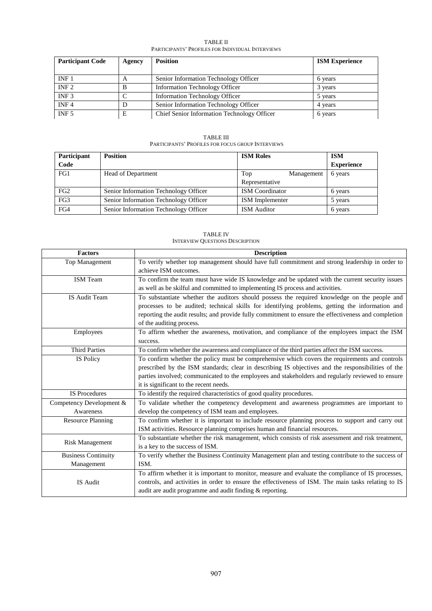| <b>TABLE II</b>                                  |  |
|--------------------------------------------------|--|
| Participants' Profiles for Individual Interviews |  |

| <b>Participant Code</b> | Agency | <b>Position</b>                             | <b>ISM Experience</b> |
|-------------------------|--------|---------------------------------------------|-----------------------|
| INF <sub>1</sub>        | A      | Senior Information Technology Officer       | 6 years               |
| INF 2                   | B      | Information Technology Officer              | 3 years               |
| INF 3                   | C      | <b>Information Technology Officer</b>       | 5 years               |
| INF <sub>4</sub>        | D      | Senior Information Technology Officer       | 4 years               |
| INF 5                   | Ε      | Chief Senior Information Technology Officer | 6 years               |

TABLE III PARTICIPANTS' PROFILES FOR FOCUS GROUP INTERVIEWS

| Participant     | <b>Position</b>                       | <b>ISM Roles</b>       | <b>ISM</b>        |
|-----------------|---------------------------------------|------------------------|-------------------|
| Code            |                                       |                        | <b>Experience</b> |
| FG1             | Head of Department                    | Top<br>Management      | 6 years           |
|                 |                                       | Representative         |                   |
| FG <sub>2</sub> | Senior Information Technology Officer | <b>ISM</b> Coordinator | 6 years           |
| FG3             | Senior Information Technology Officer | <b>ISM</b> Implementer | 5 years           |
| FG4             | Senior Information Technology Officer | <b>ISM</b> Auditor     | 6 years           |

| <b>Factors</b>                                                                                                               | <b>Description</b>                                                                                                      |  |  |
|------------------------------------------------------------------------------------------------------------------------------|-------------------------------------------------------------------------------------------------------------------------|--|--|
| Top Management                                                                                                               | To verify whether top management should have full commitment and strong leadership in order to<br>achieve ISM outcomes. |  |  |
| ISM Team                                                                                                                     | To confirm the team must have wide IS knowledge and be updated with the current security issues                         |  |  |
|                                                                                                                              | as well as be skilful and committed to implementing IS process and activities.                                          |  |  |
| IS Audit Team                                                                                                                | To substantiate whether the auditors should possess the required knowledge on the people and                            |  |  |
|                                                                                                                              | processes to be audited; technical skills for identifying problems, getting the information and                         |  |  |
|                                                                                                                              | reporting the audit results; and provide fully commitment to ensure the effectiveness and completion                    |  |  |
|                                                                                                                              | of the auditing process.                                                                                                |  |  |
| Employees                                                                                                                    | To affirm whether the awareness, motivation, and compliance of the employees impact the ISM                             |  |  |
|                                                                                                                              | success.                                                                                                                |  |  |
| <b>Third Parties</b>                                                                                                         | To confirm whether the awareness and compliance of the third parties affect the ISM success.                            |  |  |
| <b>IS Policy</b>                                                                                                             | To confirm whether the policy must be comprehensive which covers the requirements and controls                          |  |  |
|                                                                                                                              | prescribed by the ISM standards; clear in describing IS objectives and the responsibilities of the                      |  |  |
|                                                                                                                              | parties involved; communicated to the employees and stakeholders and regularly reviewed to ensure                       |  |  |
|                                                                                                                              | it is significant to the recent needs.                                                                                  |  |  |
| <b>IS Procedures</b>                                                                                                         | To identify the required characteristics of good quality procedures.                                                    |  |  |
| Competency Development &                                                                                                     | To validate whether the competency development and awareness programmes are important to                                |  |  |
| Awareness                                                                                                                    | develop the competency of ISM team and employees.                                                                       |  |  |
| To confirm whether it is important to include resource planning process to support and carry out<br><b>Resource Planning</b> |                                                                                                                         |  |  |
|                                                                                                                              | ISM activities. Resource planning comprises human and financial resources.                                              |  |  |
| <b>Risk Management</b>                                                                                                       | To substantiate whether the risk management, which consists of risk assessment and risk treatment,                      |  |  |
|                                                                                                                              | is a key to the success of ISM.                                                                                         |  |  |
| <b>Business Continuity</b>                                                                                                   | To verify whether the Business Continuity Management plan and testing contribute to the success of                      |  |  |
| Management                                                                                                                   | ISM.                                                                                                                    |  |  |
|                                                                                                                              | To affirm whether it is important to monitor, measure and evaluate the compliance of IS processes,                      |  |  |
| IS Audit                                                                                                                     | controls, and activities in order to ensure the effectiveness of ISM. The main tasks relating to IS                     |  |  |
|                                                                                                                              | audit are audit programme and audit finding & reporting.                                                                |  |  |

TABLE IV INTERVIEW QUESTIONS DESCRIPTION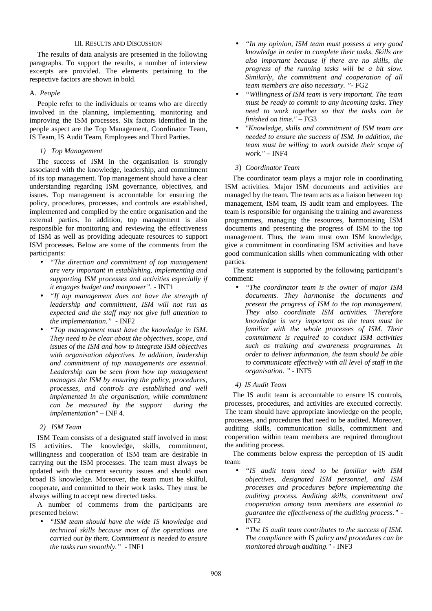## III. RESULTS AND DISCUSSION

The results of data analysis are presented in the following paragraphs. To support the results, a number of interview excerpts are provided. The elements pertaining to the respective factors are shown in bold.

## A. *People*

People refer to the individuals or teams who are directly involved in the planning, implementing, monitoring and improving the ISM processes. Six factors identified in the people aspect are the Top Management, Coordinator Team, IS Team, IS Audit Team, Employees and Third Parties.

## *1) Top Management*

The success of ISM in the organisation is strongly associated with the knowledge, leadership, and commitment of its top management. Top management should have a clear understanding regarding ISM governance, objectives, and issues. Top management is accountable for ensuring the policy, procedures, processes, and controls are established, implemented and complied by the entire organisation and the external parties. In addition, top management is also responsible for monitoring and reviewing the effectiveness of ISM as well as providing adequate resources to support ISM processes. Below are some of the comments from the participants:

- *"The direction and commitment of top management are very important in establishing, implementing and supporting ISM processes and activities especially if it engages budget and manpower".* - INF1
- *"If top management does not have the strength of leadership and commitment, ISM will not run as expected and the staff may not give full attention to the implementation."* - INF2
- *"Top management must have the knowledge in ISM. They need to be clear about the objectives, scope, and issues of the ISM and how to integrate ISM objectives with organisation objectives. In addition, leadership and commitment of top managements are essential. Leadership can be seen from how top management manages the ISM by ensuring the policy, procedures, processes, and controls are established and well implemented in the organisation, while commitment can be measured by the support during the implementation" –* INF 4*.*

#### *2) ISM Team*

ISM Team consists of a designated staff involved in most IS activities. The knowledge, skills, commitment, willingness and cooperation of ISM team are desirable in carrying out the ISM processes. The team must always be updated with the current security issues and should own broad IS knowledge. Moreover, the team must be skilful, cooperate, and committed to their work tasks. They must be always willing to accept new directed tasks.

A number of comments from the participants are presented below:

• *"ISM team should have the wide IS knowledge and technical skills because most of the operations are carried out by them. Commitment is needed to ensure the tasks run smoothly."* - INF1

- *"In my opinion, ISM team must possess a very good knowledge in order to complete their tasks. Skills are also important because if there are no skills, the progress of the running tasks will be a bit slow. Similarly, the commitment and cooperation of all team members are also necessary. "*- FG2
- *"Willingness of ISM team is very important. The team must be ready to commit to any incoming tasks. They need to work together so that the tasks can be finished on time." –* FG3
- *"Knowledge, skills and commitment of ISM team are needed to ensure the success of ISM. In addition, the team must be willing to work outside their scope of work." –* INF4

## *3*) *Coordinator Team*

The coordinator team plays a major role in coordinating ISM activities. Major ISM documents and activities are managed by the team. The team acts as a liaison between top management, ISM team, IS audit team and employees. The team is responsible for organising the training and awareness programmes, managing the resources, harmonising ISM documents and presenting the progress of ISM to the top management. Thus, the team must own ISM knowledge, give a commitment in coordinating ISM activities and have good communication skills when communicating with other parties.

The statement is supported by the following participant's comment:

• *"The coordinator team is the owner of major ISM documents. They harmonise the documents and present the progress of ISM to the top management. They also coordinate ISM activities. Therefore knowledge is very important as the team must be familiar with the whole processes of ISM. Their commitment is required to conduct ISM activities such as training and awareness programmes. In order to deliver information, the team should be able to communicate effectively with all level of staff in the organisation. " -* INF5

#### *4) IS Audit Team*

The IS audit team is accountable to ensure IS controls, processes, procedures, and activities are executed correctly. The team should have appropriate knowledge on the people, processes, and procedures that need to be audited. Moreover, auditing skills, communication skills, commitment and cooperation within team members are required throughout the auditing process.

The comments below express the perception of IS audit team:

- *"IS audit team need to be familiar with ISM objectives, designated ISM personnel, and ISM processes and procedures before implementing the auditing process. Auditing skills, commitment and cooperation among team members are essential to guarantee the effectiveness of the auditing process."* - INF2
- *"The IS audit team contributes to the success of ISM. The compliance with IS policy and procedures can be monitored through auditing."* - INF3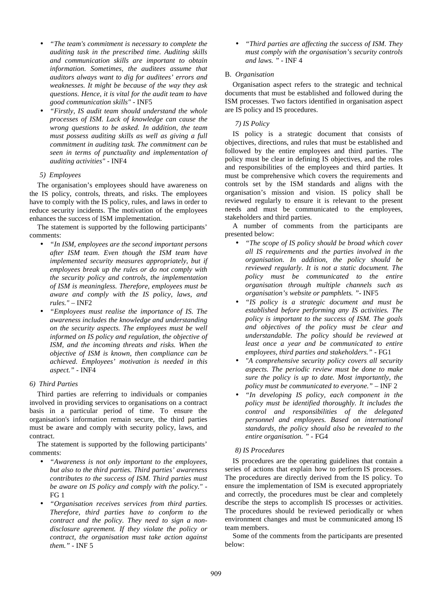- *"The team's commitment is necessary to complete the auditing task in the prescribed time. Auditing skills and communication skills are important to obtain information. Sometimes, the auditees assume that auditors always want to dig for auditees' errors and weaknesses. It might be because of the way they ask questions. Hence, it is vital for the audit team to have good communication skills"* - INF5
- *"Firstly, IS audit team should understand the whole processes of ISM. Lack of knowledge can cause the wrong questions to be asked. In addition, the team must possess auditing skills as well as giving a full commitment in auditing task. The commitment can be seen in terms of punctuality and implementation of auditing activities" -* INF4

## *5) Employees*

The organisation's employees should have awareness on the IS policy, controls, threats, and risks. The employees have to comply with the IS policy, rules, and laws in order to reduce security incidents. The motivation of the employees enhances the success of ISM implementation.

The statement is supported by the following participants' comments:

- *"In ISM, employees are the second important persons after ISM team. Even though the ISM team have implemented security measures appropriately, but if employees break up the rules or do not comply with the security policy and controls, the implementation of ISM is meaningless. Therefore, employees must be aware and comply with the IS policy, laws, and rules." –* INF2
- *"Employees must realise the importance of IS. The awareness includes the knowledge and understanding on the security aspects. The employees must be well informed on IS policy and regulation, the objective of ISM, and the incoming threats and risks. When the objective of ISM is known, then compliance can be achieved. Employees' motivation is needed in this aspect." -* INF4

## *6) Third Parties*

Third parties are referring to individuals or companies involved in providing services to organisations on a contract basis in a particular period of time. To ensure the organisation's information remain secure, the third parties must be aware and comply with security policy, laws, and contract.

The statement is supported by the following participants' comments:

- *"Awareness is not only important to the employees, but also to the third parties. Third parties' awareness contributes to the success of ISM. Third parties must be aware on IS policy and comply with the policy." -*  FG 1
- *"Organisation receives services from third parties. Therefore, third parties have to conform to the contract and the policy. They need to sign a nondisclosure agreement. If they violate the policy or contract, the organisation must take action against them." -* INF 5

• *"Third parties are affecting the success of ISM. They must comply with the organisation's security controls and laws. " -* INF 4

## B. *Organisation*

Organisation aspect refers to the strategic and technical documents that must be established and followed during the ISM processes. Two factors identified in organisation aspect are IS policy and IS procedures.

## *7) IS Policy*

IS policy is a strategic document that consists of objectives, directions, and rules that must be established and followed by the entire employees and third parties. The policy must be clear in defining IS objectives, and the roles and responsibilities of the employees and third parties. It must be comprehensive which covers the requirements and controls set by the ISM standards and aligns with the organisation's mission and vision. IS policy shall be reviewed regularly to ensure it is relevant to the present needs and must be communicated to the employees, stakeholders and third parties.

A number of comments from the participants are presented below:

- *"The scope of IS policy should be broad which cover all IS requirements and the parties involved in the organisation. In addition, the policy should be reviewed regularly. It is not a static document. The policy must be communicated to the entire organisation through multiple channels such as organisation's website or pamphlets. "*- INF5
- *"IS policy is a strategic document and must be established before performing any IS activities. The policy is important to the success of ISM. The goals and objectives of the policy must be clear and understandable. The policy should be reviewed at least once a year and be communicated to entire employees, third parties and stakeholders."* - FG1
- *"A comprehensive security policy covers all security aspects. The periodic review must be done to make sure the policy is up to date. Most importantly, the policy must be communicated to everyone."* – INF 2
- *"In developing IS policy, each component in the policy must be identified thoroughly. It includes the control and responsibilities of the delegated personnel and employees. Based on international standards, the policy should also be revealed to the entire organisation. " -* FG4

# *8) IS Procedures*

IS procedures are the operating guidelines that contain a series of actions that explain how to perform IS processes. The procedures are directly derived from the IS policy. To ensure the implementation of ISM is executed appropriately and correctly, the procedures must be clear and completely describe the steps to accomplish IS processes or activities. The procedures should be reviewed periodically or when environment changes and must be communicated among IS team members.

Some of the comments from the participants are presented below: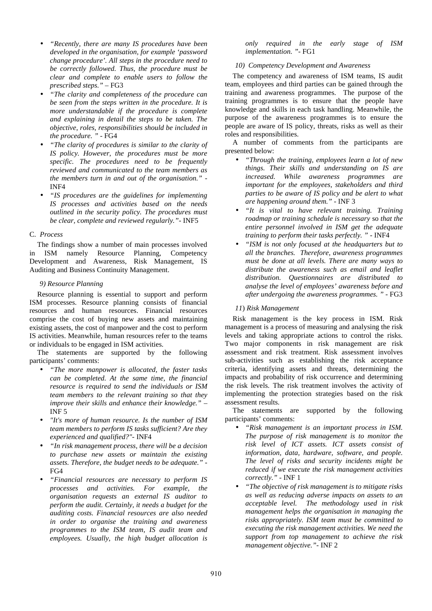- *"Recently, there are many IS procedures have been developed in the organisation, for example 'password change procedure'. All steps in the procedure need to be correctly followed. Thus, the procedure must be clear and complete to enable users to follow the prescribed steps." –* FG3
- *"The clarity and completeness of the procedure can be seen from the steps written in the procedure. It is more understandable if the procedure is complete and explaining in detail the steps to be taken. The objective, roles, responsibilities should be included in the procedure. "* - FG4
- *"The clarity of procedures is similar to the clarity of IS policy. However, the procedures must be more specific. The procedures need to be frequently reviewed and communicated to the team members as the members turn in and out of the organisation." -*  INF4
- *"IS procedures are the guidelines for implementing IS processes and activities based on the needs outlined in the security policy. The procedures must be clear, complete and reviewed regularly."*- INF5

## C. *Process*

The findings show a number of main processes involved in ISM namely Resource Planning, Competency Development and Awareness, Risk Management, IS Auditing and Business Continuity Management.

## *9) Resource Planning*

Resource planning is essential to support and perform ISM processes. Resource planning consists of financial resources and human resources. Financial resources comprise the cost of buying new assets and maintaining existing assets, the cost of manpower and the cost to perform IS activities. Meanwhile, human resources refer to the teams or individuals to be engaged in ISM activities.

The statements are supported by the following participants' comments:

- *"The more manpower is allocated, the faster tasks can be completed. At the same time, the financial resource is required to send the individuals or ISM team members to the relevant training so that they improve their skills and enhance their knowledge."* – INF 5
- *"It's more of human resource. Is the number of ISM team members to perform IS tasks sufficient? Are they experienced and qualified?"-* INF4
- *"In risk management process, there will be a decision to purchase new assets or maintain the existing assets. Therefore, the budget needs to be adequate." -*  FG4
- *"Financial resources are necessary to perform IS processes and activities. For example, the organisation requests an external IS auditor to perform the audit. Certainly, it needs a budget for the auditing costs. Financial resources are also needed in order to organise the training and awareness programmes to the ISM team, IS audit team and employees. Usually, the high budget allocation is*

*only required in the early stage of ISM implementation. "*- FG1

## *10) Competency Development and Awareness*

The competency and awareness of ISM teams, IS audit team, employees and third parties can be gained through the training and awareness programmes. The purpose of the training programmes is to ensure that the people have knowledge and skills in each task handling. Meanwhile, the purpose of the awareness programmes is to ensure the people are aware of IS policy, threats, risks as well as their roles and responsibilities.

A number of comments from the participants are presented below:

- *"Through the training, employees learn a lot of new things. Their skills and understanding on IS are increased. While awareness programmes are important for the employees, stakeholders and third parties to be aware of IS policy and be alert to what are happening around them."* - INF 3
- *"It is vital to have relevant training. Training roadmap or training schedule is necessary* so *that the entire personnel involved in ISM get the adequate training to perform their tasks perfectly. "* - INF4
- *"ISM is not only focused at the headquarters but to all the branches. Therefore, awareness programmes must be done at all levels. There are many ways to distribute the awareness such as email and leaflet distribution. Questionnaires are distributed to analyse the level of employees' awareness before and after undergoing the awareness programmes. " -* FG3

## *11*) *Risk Management*

Risk management is the key process in ISM. Risk management is a process of measuring and analysing the risk levels and taking appropriate actions to control the risks. Two major components in risk management are risk assessment and risk treatment. Risk assessment involves sub-activities such as establishing the risk acceptance criteria, identifying assets and threats, determining the impacts and probability of risk occurrence and determining the risk levels. The risk treatment involves the activity of implementing the protection strategies based on the risk assessment results.

The statements are supported by the following participants' comments:

- *"Risk management is an important process in ISM. The purpose of risk management is to monitor the risk level of ICT assets. ICT assets consist of information, data, hardware, software, and people. The level of risks and security incidents might be reduced if we execute the risk management activities correctly." -* INF 1
- *"The objective of risk management is to mitigate risks as well as reducing adverse impacts on assets to an acceptable level. The methodology used in risk management helps the organisation in managing the risks appropriately. ISM team must be committed to executing the risk management activities. We need the support from top management to achieve the risk management objective."-* INF 2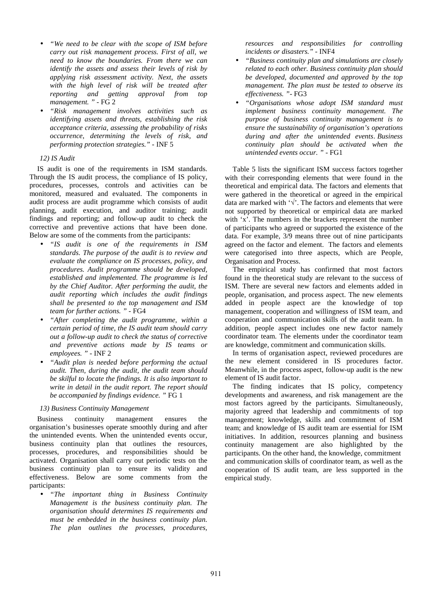- *"We need to be clear with the scope of ISM before carry out risk management process. First of all, we need to know the boundaries. From there we can identify the assets and assess their levels of risk by applying risk assessment activity. Next, the assets*  with the high level of risk will be treated after *reporting and getting approval from top management. " -* FG 2
- *"Risk management involves activities such as identifying assets and threats, establishing the risk acceptance criteria, assessing the probability of risks occurrence*, *determining the levels of risk, and performing protection strategies." -* INF 5

## *12) IS Audit*

IS audit is one of the requirements in ISM standards. Through the IS audit process, the compliance of IS policy, procedures, processes, controls and activities can be monitored, measured and evaluated. The components in audit process are audit programme which consists of audit planning, audit execution, and auditor training; audit findings and reporting; and follow-up audit to check the corrective and preventive actions that have been done. Below are some of the comments from the participants:

- *"IS audit is one of the requirements in ISM standards. The purpose of the audit is to review and evaluate the compliance on IS processes, policy, and procedures. Audit programme should be developed, established and implemented. The programme is led by the Chief Auditor. After performing the audit, the audit reporting which includes the audit findings shall be presented to the top management and ISM team for further actions. " -* FG4
- *"After completing the audit programme, within a certain period of time, the IS audit team should carry out a follow-up audit to check the status of corrective and preventive actions made by IS teams or employees. " -* INF 2
- *"Audit plan is needed before performing the actual audit. Then, during the audit, the audit team should be skilful to locate the findings. It is also important to write in detail in the audit report. The report should be accompanied by findings evidence. "* FG 1

## *13) Business Continuity Management*

Business continuity management ensures the organisation's businesses operate smoothly during and after the unintended events. When the unintended events occur, business continuity plan that outlines the resources, processes, procedures, and responsibilities should be activated. Organisation shall carry out periodic tests on the business continuity plan to ensure its validity and effectiveness. Below are some comments from the participants:

• *"The important thing in Business Continuity Management is the business continuity plan. The organisation should determines IS requirements and must be embedded in the business continuity plan. The plan outlines the processes, procedures,*  *resources and responsibilities for controlling incidents or disasters." -* INF4

- *"Business continuity plan and simulations are closely related to each other. Business continuity plan should be developed, documented and approved by the top management. The plan must be tested to observe its effectiveness. "*- FG3
- *"Organisations whose adopt ISM standard must implement business continuity management. The purpose of business continuity management is to ensure the sustainability of organisation's operations during and after the unintended events*. *Business continuity plan should be activated when the unintended events occur. "* - FG1

Table 5 lists the significant ISM success factors together with their corresponding elements that were found in the theoretical and empirical data. The factors and elements that were gathered in the theoretical or agreed in the empirical data are marked with ' $\sqrt{$ '. The factors and elements that were not supported by theoretical or empirical data are marked with 'x'. The numbers in the brackets represent the number of participants who agreed or supported the existence of the data. For example, 3/9 means three out of nine participants agreed on the factor and element. The factors and elements were categorised into three aspects, which are People, Organisation and Process.

The empirical study has confirmed that most factors found in the theoretical study are relevant to the success of ISM. There are several new factors and elements added in people, organisation, and process aspect. The new elements added in people aspect are the knowledge of top management, cooperation and willingness of ISM team, and cooperation and communication skills of the audit team. In addition, people aspect includes one new factor namely coordinator team. The elements under the coordinator team are knowledge, commitment and communication skills.

In terms of organisation aspect, reviewed procedures are the new element considered in IS procedures factor. Meanwhile, in the process aspect, follow-up audit is the new element of IS audit factor.

The finding indicates that IS policy, competency developments and awareness, and risk management are the most factors agreed by the participants. Simultaneously, majority agreed that leadership and commitments of top management; knowledge, skills and commitment of ISM team; and knowledge of IS audit team are essential for ISM initiatives. In addition, resources planning and business continuity management are also highlighted by the participants. On the other hand, the knowledge, commitment and communication skills of coordinator team, as well as the cooperation of IS audit team, are less supported in the empirical study.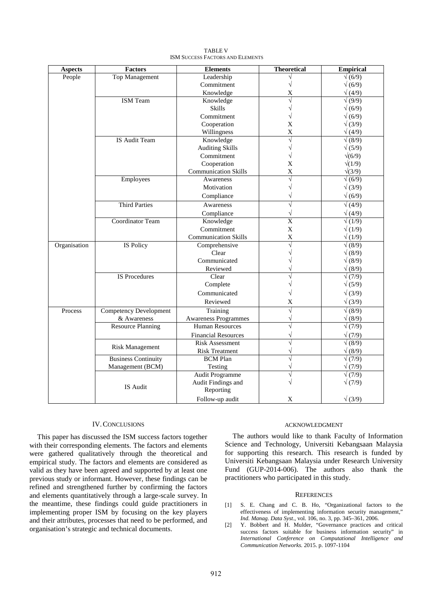| <b>Aspects</b> | <b>Factors</b>                | <b>Elements</b>             | <b>Theoretical</b>    | <b>Empirical</b> |
|----------------|-------------------------------|-----------------------------|-----------------------|------------------|
| People         | <b>Top Management</b>         | Leadership                  |                       | $\sqrt{(6/9)}$   |
|                |                               | Commitment                  | $\sqrt{}$             | $\sqrt{(6/9)}$   |
|                |                               | Knowledge                   | X                     | $\sqrt{(4/9)}$   |
|                | <b>ISM</b> Team               | Knowledge                   | $\sqrt{ }$            | $\sqrt{(9/9)}$   |
|                |                               | <b>Skills</b>               | $\sqrt{}$             | $\sqrt{(6/9)}$   |
|                |                               | Commitment                  | $\sqrt{}$             | $\sqrt{(6/9)}$   |
|                |                               | Cooperation                 | X                     | $\sqrt{(3/9)}$   |
|                |                               | Willingness                 | X                     | $\sqrt{(4/9)}$   |
|                | <b>IS Audit Team</b>          | Knowledge                   | $\sqrt{}$             | $\sqrt{(8/9)}$   |
|                |                               | <b>Auditing Skills</b>      |                       | $\sqrt{(5/9)}$   |
|                |                               | Commitment                  |                       | $\sqrt{(6/9)}$   |
|                |                               | Cooperation                 | X                     | $\sqrt{(1/9)}$   |
|                |                               | <b>Communication Skills</b> | X                     | $\sqrt{(3/9)}$   |
|                | Employees                     | Awareness                   |                       | $\sqrt{(6/9)}$   |
|                |                               | Motivation                  |                       | $\sqrt{(3/9)}$   |
|                |                               | Compliance                  |                       | $\sqrt{(6/9)}$   |
|                | <b>Third Parties</b>          | Awareness                   |                       | $\sqrt{(4/9)}$   |
|                |                               | Compliance                  |                       | $\sqrt{(4/9)}$   |
|                | Coordinator Team              | Knowledge                   | $\overline{\text{X}}$ | $\sqrt{(1/9)}$   |
|                |                               | Commitment                  | X                     | $\sqrt{(1/9)}$   |
|                |                               | <b>Communication Skills</b> | X                     | $\sqrt{(1/9)}$   |
| Organisation   | IS Policy                     | Comprehensive               |                       | $\sqrt{(8/9)}$   |
|                |                               | Clear                       |                       | $\sqrt{(8/9)}$   |
|                |                               | Communicated                |                       | $\sqrt{(8/9)}$   |
|                |                               | Reviewed                    |                       | $\sqrt{(8/9)}$   |
|                | <b>IS Procedures</b>          | Clear                       |                       | $\sqrt{(7/9)}$   |
|                |                               | Complete                    |                       | $\sqrt{(5/9)}$   |
|                |                               | Communicated                |                       | $\sqrt{(3/9)}$   |
|                |                               | Reviewed                    | X                     | $\sqrt{(3/9)}$   |
| Process        | <b>Competency Development</b> | Training                    | $\sqrt{}$             | $\sqrt{(8/9)}$   |
|                | & Awareness                   | <b>Awareness Programmes</b> | $\sqrt{}$             | $\sqrt{(8/9)}$   |
|                | <b>Resource Planning</b>      | <b>Human Resources</b>      |                       | $\sqrt{(7/9)}$   |
|                |                               | <b>Financial Resources</b>  |                       | $\sqrt{(7/9)}$   |
|                |                               | <b>Risk Assessment</b>      |                       | $\sqrt{(8/9)}$   |
|                | <b>Risk Management</b>        | <b>Risk Treatment</b>       |                       | $\sqrt{(8/9)}$   |
|                | <b>Business Continuity</b>    | <b>BCM</b> Plan             |                       | $\sqrt{(7/9)}$   |
|                | Management (BCM)              | Testing                     | $\sqrt{}$             | $\sqrt{(7/9)}$   |
|                |                               | <b>Audit Programme</b>      | $\sqrt{}$             | $\sqrt{(7/9)}$   |
|                |                               | Audit Findings and          |                       | $\sqrt{(7/9)}$   |
|                | IS Audit                      | Reporting                   |                       |                  |
|                |                               | Follow-up audit             | X                     | $\sqrt{(3/9)}$   |

TABLE V ISM SUCCESS FACTORS AND ELEMENTS

#### IV.CONCLUSIONS

This paper has discussed the ISM success factors together with their corresponding elements. The factors and elements were gathered qualitatively through the theoretical and empirical study. The factors and elements are considered as valid as they have been agreed and supported by at least one previous study or informant. However, these findings can be refined and strengthened further by confirming the factors and elements quantitatively through a large-scale survey. In the meantime, these findings could guide practitioners in implementing proper ISM by focusing on the key players and their attributes, processes that need to be performed, and organisation's strategic and technical documents.

#### ACKNOWLEDGMENT

The authors would like to thank Faculty of Information Science and Technology, Universiti Kebangsaan Malaysia for supporting this research. This research is funded by Universiti Kebangsaan Malaysia under Research University Fund (GUP-2014-006). The authors also thank the practitioners who participated in this study.

#### **REFERENCES**

- [1] S. E. Chang and C. B. Ho, "Organizational factors to the effectiveness of implementing information security management," *Ind. Manag. Data Syst*., vol. 106, no. 3, pp. 345–361, 2006.
- [2] Y. Bobbert and H. Mulder, "Governance practices and critical success factors suitable for business information security" in *International Conference on Computational Intelligence and Communication Networks.* 2015. p. 1097-1104